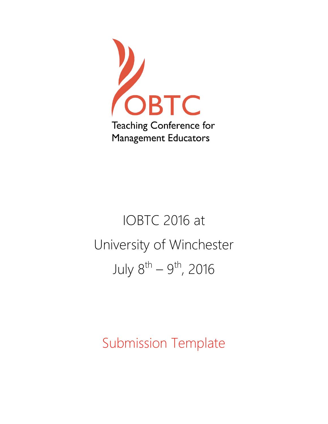

# IOBTC 2016 at University of Winchester July 8<sup>th</sup> — 9<sup>th</sup>, 2016

# Submission Template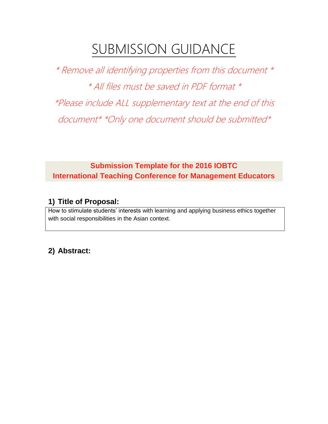# SUBMISSION GUIDANCE

\* Remove all identifying properties from this document \* \* All files must be saved in PDF format \* \*Please include ALL supplementary text at the end of this document\* \*Only one document should be submitted\*

**Submission Template for the 2016 IOBTC International Teaching Conference for Management Educators**

#### **1) Title of Proposal:**

How to stimulate students' interests with learning and applying business ethics together with social responsibilities in the Asian context.

# **2) Abstract:**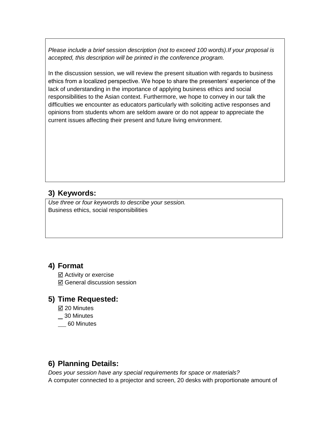*Please include a brief session description (not to exceed 100 words).If your proposal is accepted, this description will be printed in the conference program.*

In the discussion session, we will review the present situation with regards to business ethics from a localized perspective. We hope to share the presenters' experience of the lack of understanding in the importance of applying business ethics and social responsibilities to the Asian context. Furthermore, we hope to convey in our talk the difficulties we encounter as educators particularly with soliciting active responses and opinions from students whom are seldom aware or do not appear to appreciate the current issues affecting their present and future living environment.

# **3) Keywords:**

*Use three or four keywords to describe your session.* Business ethics, social responsibilities

# **4) Format**

 $✓$  **Activity or exercise** General discussion session

#### **5) Time Requested:**

- 20 Minutes
- 30 Minutes
- \_\_ 60 Minutes

# **6) Planning Details:**

*Does your session have any special requirements for space or materials?* A computer connected to a projector and screen, 20 desks with proportionate amount of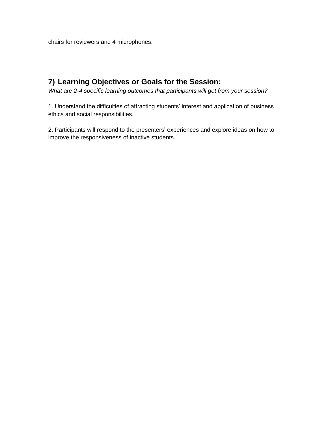chairs for reviewers and 4 microphones.

# **7) Learning Objectives or Goals for the Session:**

*What are 2-4 specific learning outcomes that participants will get from your session?* 

1. Understand the difficulties of attracting students' interest and application of business ethics and social responsibilities.

2. Participants will respond to the presenters' experiences and explore ideas on how to improve the responsiveness of inactive students.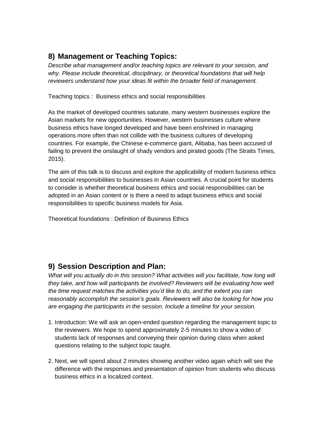# **8) Management or Teaching Topics:**

*Describe what management and/or teaching topics are relevant to your session, and why. Please include theoretical, disciplinary, or theoretical foundations that will help reviewers understand how your ideas fit within the broader field of management.*

Teaching topics : Business ethics and social responsibilities

As the market of developed countries saturate, many western businesses explore the Asian markets for new opportunities. However, western businesses culture where business ethics have longed developed and have been enshrined in managing operations more often than not collide with the business cultures of developing countries. For example, the Chinese e-commerce giant, Alibaba, has been accused of failing to prevent the onslaught of shady vendors and pirated goods (The Straits Times, 2015).

The aim of this talk is to discuss and explore the applicability of modern business ethics and social responsibilities to businesses in Asian countries. A crucial point for students to consider is whether theoretical business ethics and social responsibilities can be adopted in an Asian content or is there a need to adapt business ethics and social responsibilities to specific business models for Asia.

Theoretical foundations : Definition of Business Ethics

#### **9) Session Description and Plan:**

*What will you actually do in this session? What activities will you facilitate, how long will they take, and how will participants be involved? Reviewers will be evaluating how well the time request matches the activities you'd like to do, and the extent you can reasonably accomplish the session's goals. Reviewers will also be looking for how you are engaging the participants in the session. Include a timeline for your session.*

- 1. Introduction: We will ask an open-ended question regarding the management topic to the reviewers. We hope to spend approximately 2-5 minutes to show a video of students lack of responses and conveying their opinion during class when asked questions relating to the subject topic taught.
- 2. Next, we will spend about 2 minutes showing another video again which will see the difference with the responses and presentation of opinion from students who discuss business ethics in a localized context.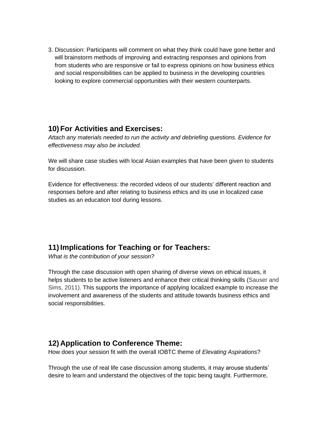3. Discussion: Participants will comment on what they think could have gone better and will brainstorm methods of improving and extracting responses and opinions from from students who are responsive or fail to express opinions on how business ethics and social responsibilities can be applied to business in the developing countries looking to explore commercial opportunities with their western counterparts.

# **10) For Activities and Exercises:**

*Attach any materials needed to run the activity and debriefing questions. Evidence for effectiveness may also be included.*

We will share case studies with local Asian examples that have been given to students for discussion.

Evidence for effectiveness: the recorded videos of our students' different reaction and responses before and after relating to business ethics and its use in localized case studies as an education tool during lessons.

# **11)Implications for Teaching or for Teachers:**

*What is the contribution of your session?* 

Through the case discussion with open sharing of diverse views on ethical issues, it helps students to be active listeners and enhance their critical thinking skills (Sauser and Sims, 2011). This supports the importance of applying localized example to increase the involvement and awareness of the students and attitude towards business ethics and social responsibilities.

#### **12) Application to Conference Theme:**

How does your session fit with the overall IOBTC theme of *Elevating Aspirations*?

Through the use of real life case discussion among students, it may arouse students' desire to learn and understand the objectives of the topic being taught. Furthermore,